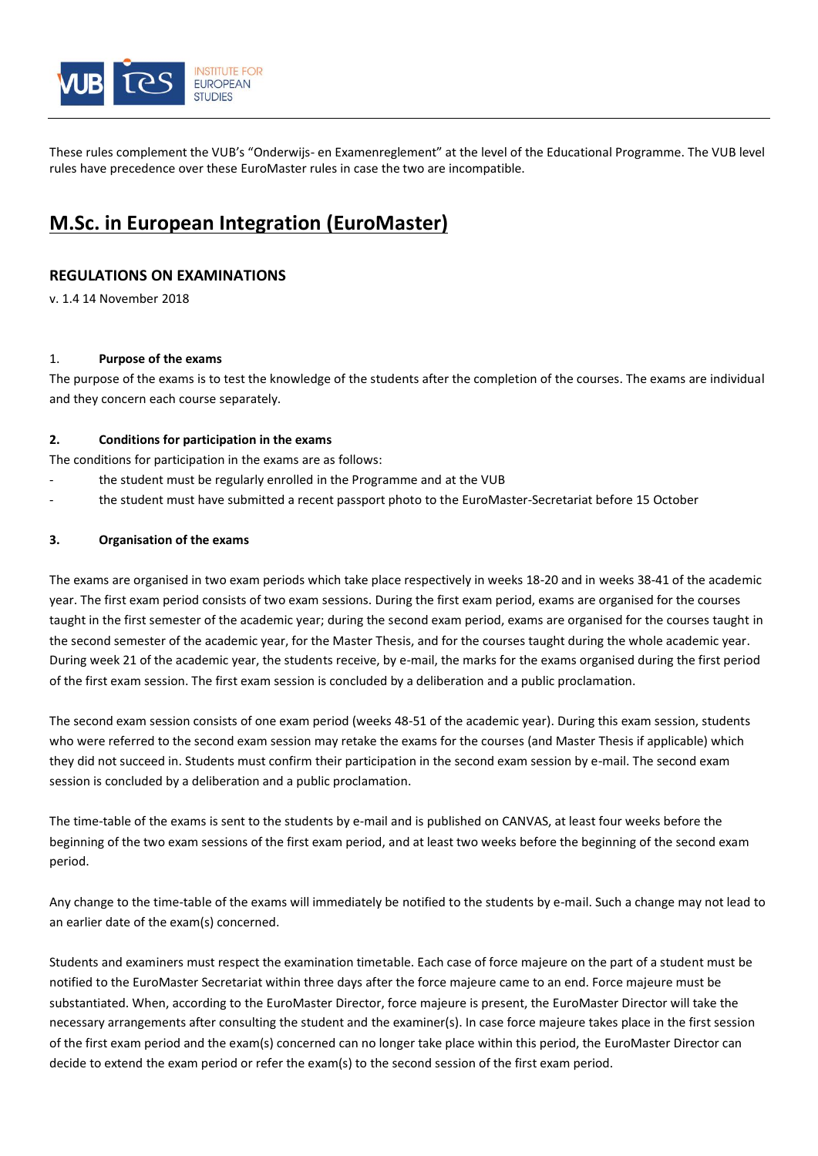

These rules complement the VUB's "Onderwijs- en Examenreglement" at the level of the Educational Programme. The VUB level rules have precedence over these EuroMaster rules in case the two are incompatible.

# **M.Sc. in European Integration (EuroMaster)**

# **REGULATIONS ON EXAMINATIONS**

v. 1.4 14 November 2018

## 1. **Purpose of the exams**

The purpose of the exams is to test the knowledge of the students after the completion of the courses. The exams are individual and they concern each course separately.

## **2. Conditions for participation in the exams**

The conditions for participation in the exams are as follows:

- the student must be regularly enrolled in the Programme and at the VUB
- the student must have submitted a recent passport photo to the EuroMaster-Secretariat before 15 October

## **3. Organisation of the exams**

The exams are organised in two exam periods which take place respectively in weeks 18-20 and in weeks 38-41 of the academic year. The first exam period consists of two exam sessions. During the first exam period, exams are organised for the courses taught in the first semester of the academic year; during the second exam period, exams are organised for the courses taught in the second semester of the academic year, for the Master Thesis, and for the courses taught during the whole academic year. During week 21 of the academic year, the students receive, by e-mail, the marks for the exams organised during the first period of the first exam session. The first exam session is concluded by a deliberation and a public proclamation.

The second exam session consists of one exam period (weeks 48-51 of the academic year). During this exam session, students who were referred to the second exam session may retake the exams for the courses (and Master Thesis if applicable) which they did not succeed in. Students must confirm their participation in the second exam session by e-mail. The second exam session is concluded by a deliberation and a public proclamation.

The time-table of the exams is sent to the students by e-mail and is published on CANVAS, at least four weeks before the beginning of the two exam sessions of the first exam period, and at least two weeks before the beginning of the second exam period.

Any change to the time-table of the exams will immediately be notified to the students by e-mail. Such a change may not lead to an earlier date of the exam(s) concerned.

Students and examiners must respect the examination timetable. Each case of force majeure on the part of a student must be notified to the EuroMaster Secretariat within three days after the force majeure came to an end. Force majeure must be substantiated. When, according to the EuroMaster Director, force majeure is present, the EuroMaster Director will take the necessary arrangements after consulting the student and the examiner(s). In case force majeure takes place in the first session of the first exam period and the exam(s) concerned can no longer take place within this period, the EuroMaster Director can decide to extend the exam period or refer the exam(s) to the second session of the first exam period.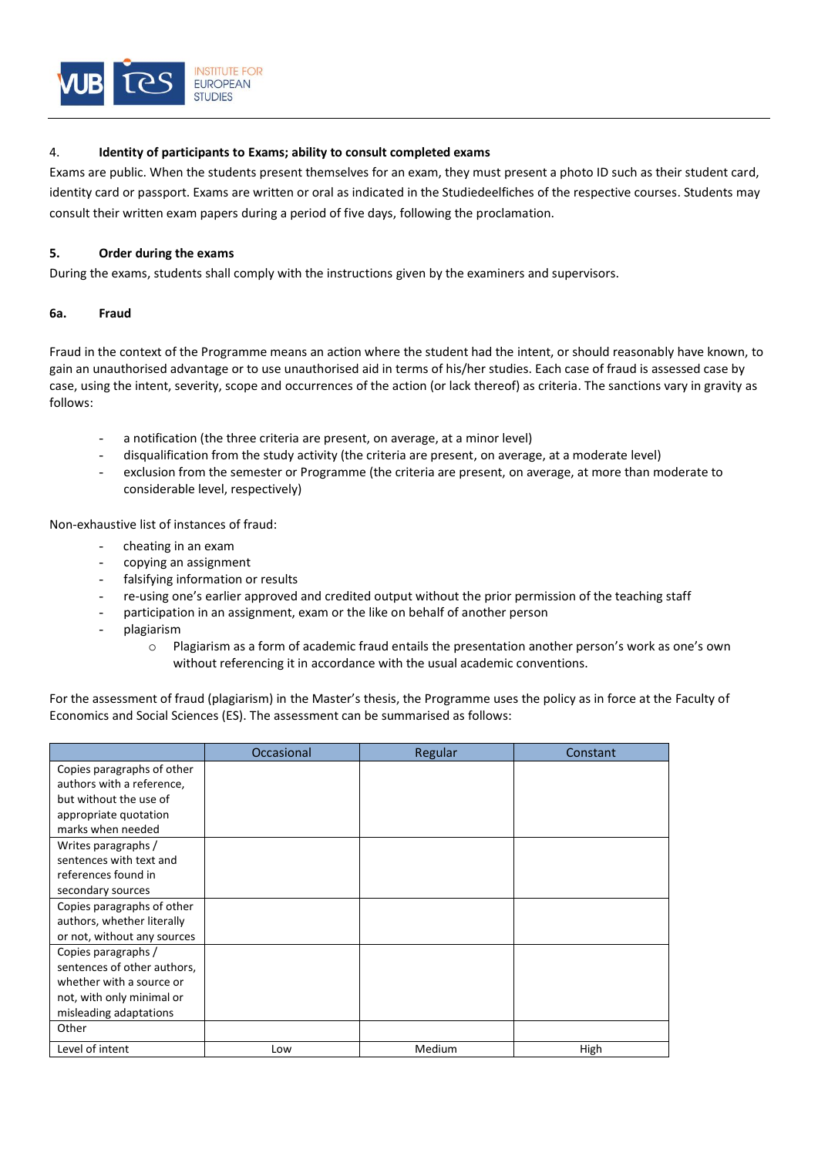

## 4. **Identity of participants to Exams; ability to consult completed exams**

Exams are public. When the students present themselves for an exam, they must present a photo ID such as their student card, identity card or passport. Exams are written or oral as indicated in the Studiedeelfiches of the respective courses. Students may consult their written exam papers during a period of five days, following the proclamation.

## **5. Order during the exams**

During the exams, students shall comply with the instructions given by the examiners and supervisors.

## **6a. Fraud**

Fraud in the context of the Programme means an action where the student had the intent, or should reasonably have known, to gain an unauthorised advantage or to use unauthorised aid in terms of his/her studies. Each case of fraud is assessed case by case, using the intent, severity, scope and occurrences of the action (or lack thereof) as criteria. The sanctions vary in gravity as follows:

- a notification (the three criteria are present, on average, at a minor level)
- disqualification from the study activity (the criteria are present, on average, at a moderate level)
- exclusion from the semester or Programme (the criteria are present, on average, at more than moderate to considerable level, respectively)

Non-exhaustive list of instances of fraud:

- cheating in an exam
- copying an assignment
- falsifying information or results
- re-using one's earlier approved and credited output without the prior permission of the teaching staff
- participation in an assignment, exam or the like on behalf of another person
- plagiarism
	- o Plagiarism as a form of academic fraud entails the presentation another person's work as one's own without referencing it in accordance with the usual academic conventions.

For the assessment of fraud (plagiarism) in the Master's thesis, the Programme uses the policy as in force at the Faculty of Economics and Social Sciences (ES). The assessment can be summarised as follows:

|                             | Occasional | Regular | Constant |
|-----------------------------|------------|---------|----------|
| Copies paragraphs of other  |            |         |          |
| authors with a reference,   |            |         |          |
| but without the use of      |            |         |          |
| appropriate quotation       |            |         |          |
| marks when needed           |            |         |          |
| Writes paragraphs /         |            |         |          |
| sentences with text and     |            |         |          |
| references found in         |            |         |          |
| secondary sources           |            |         |          |
| Copies paragraphs of other  |            |         |          |
| authors, whether literally  |            |         |          |
| or not, without any sources |            |         |          |
| Copies paragraphs /         |            |         |          |
| sentences of other authors, |            |         |          |
| whether with a source or    |            |         |          |
| not, with only minimal or   |            |         |          |
| misleading adaptations      |            |         |          |
| Other                       |            |         |          |
| Level of intent             | Low        | Medium  | High     |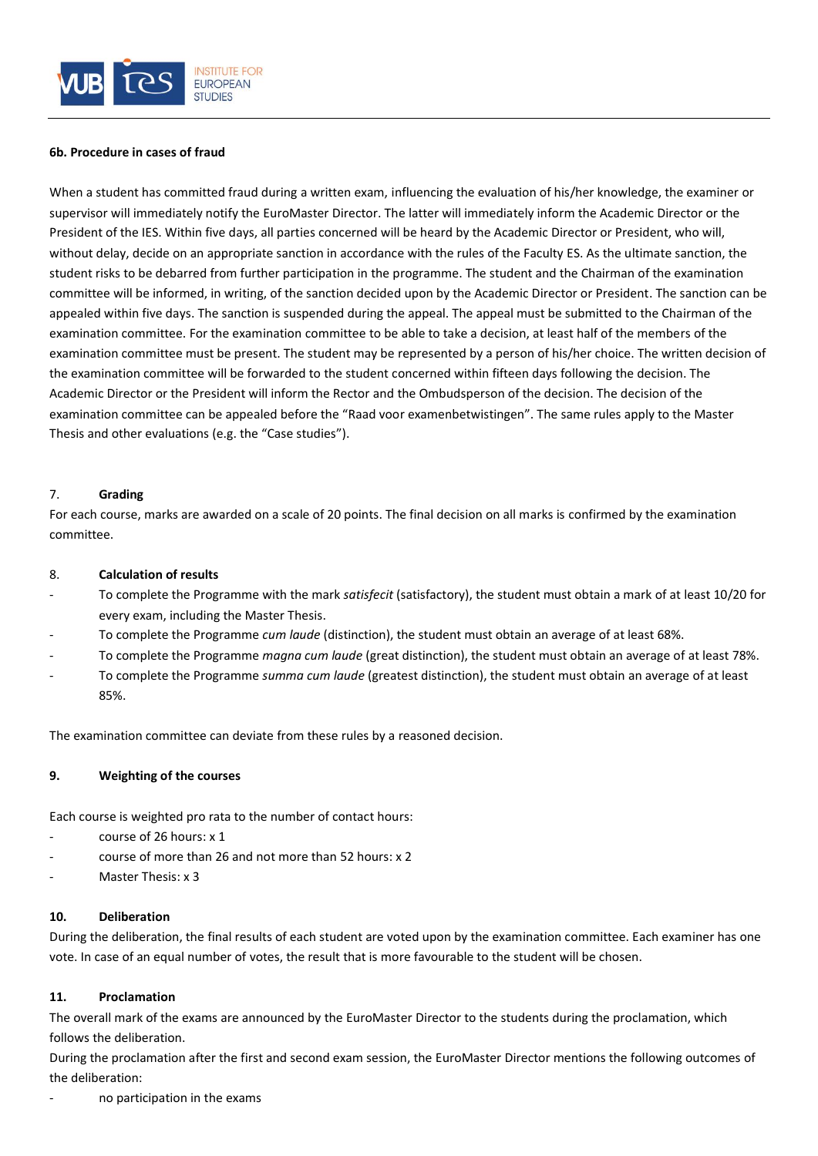

#### **6b. Procedure in cases of fraud**

When a student has committed fraud during a written exam, influencing the evaluation of his/her knowledge, the examiner or supervisor will immediately notify the EuroMaster Director. The latter will immediately inform the Academic Director or the President of the IES. Within five days, all parties concerned will be heard by the Academic Director or President, who will, without delay, decide on an appropriate sanction in accordance with the rules of the Faculty ES. As the ultimate sanction, the student risks to be debarred from further participation in the programme. The student and the Chairman of the examination committee will be informed, in writing, of the sanction decided upon by the Academic Director or President. The sanction can be appealed within five days. The sanction is suspended during the appeal. The appeal must be submitted to the Chairman of the examination committee. For the examination committee to be able to take a decision, at least half of the members of the examination committee must be present. The student may be represented by a person of his/her choice. The written decision of the examination committee will be forwarded to the student concerned within fifteen days following the decision. The Academic Director or the President will inform the Rector and the Ombudsperson of the decision. The decision of the examination committee can be appealed before the "Raad voor examenbetwistingen". The same rules apply to the Master Thesis and other evaluations (e.g. the "Case studies").

## 7. **Grading**

For each course, marks are awarded on a scale of 20 points. The final decision on all marks is confirmed by the examination committee.

## 8. **Calculation of results**

- To complete the Programme with the mark *satisfecit* (satisfactory), the student must obtain a mark of at least 10/20 for every exam, including the Master Thesis.
- To complete the Programme *cum laude* (distinction), the student must obtain an average of at least 68%.
- To complete the Programme *magna cum laude* (great distinction), the student must obtain an average of at least 78%.
- To complete the Programme *summa cum laude* (greatest distinction), the student must obtain an average of at least 85%.

The examination committee can deviate from these rules by a reasoned decision.

## **9. Weighting of the courses**

Each course is weighted pro rata to the number of contact hours:

- course of 26 hours: x 1
- course of more than 26 and not more than 52 hours: x 2
- Master Thesis: x 3

## **10. Deliberation**

During the deliberation, the final results of each student are voted upon by the examination committee. Each examiner has one vote. In case of an equal number of votes, the result that is more favourable to the student will be chosen.

## **11. Proclamation**

The overall mark of the exams are announced by the EuroMaster Director to the students during the proclamation, which follows the deliberation.

During the proclamation after the first and second exam session, the EuroMaster Director mentions the following outcomes of the deliberation:

no participation in the exams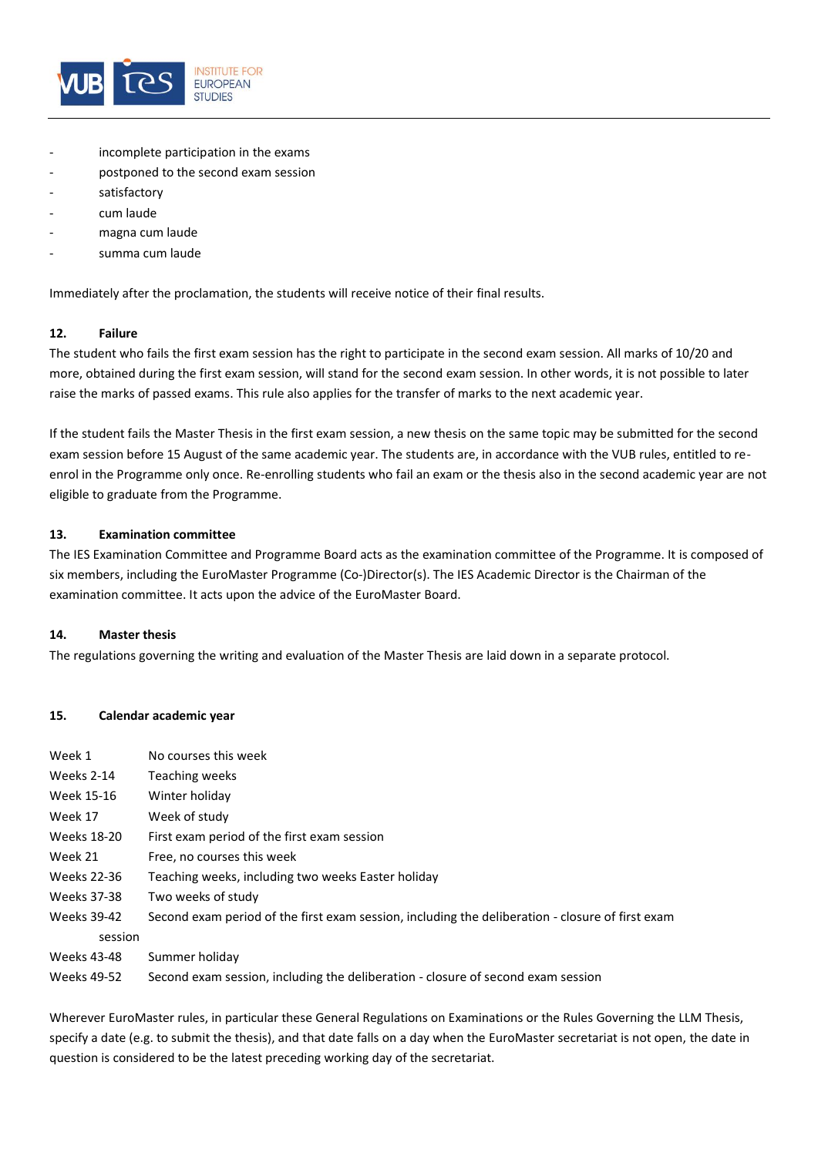

- incomplete participation in the exams
- postponed to the second exam session
- satisfactory
- cum laude
- magna cum laude
- summa cum laude

Immediately after the proclamation, the students will receive notice of their final results.

#### **12. Failure**

The student who fails the first exam session has the right to participate in the second exam session. All marks of 10/20 and more, obtained during the first exam session, will stand for the second exam session. In other words, it is not possible to later raise the marks of passed exams. This rule also applies for the transfer of marks to the next academic year.

If the student fails the Master Thesis in the first exam session, a new thesis on the same topic may be submitted for the second exam session before 15 August of the same academic year. The students are, in accordance with the VUB rules, entitled to reenrol in the Programme only once. Re-enrolling students who fail an exam or the thesis also in the second academic year are not eligible to graduate from the Programme.

#### **13. Examination committee**

The IES Examination Committee and Programme Board acts as the examination committee of the Programme. It is composed of six members, including the EuroMaster Programme (Co-)Director(s). The IES Academic Director is the Chairman of the examination committee. It acts upon the advice of the EuroMaster Board.

#### **14. Master thesis**

The regulations governing the writing and evaluation of the Master Thesis are laid down in a separate protocol.

#### **15. Calendar academic year**

| Week 1      | No courses this week                                                                             |  |
|-------------|--------------------------------------------------------------------------------------------------|--|
| Weeks 2-14  | Teaching weeks                                                                                   |  |
| Week 15-16  | Winter holiday                                                                                   |  |
| Week 17     | Week of study                                                                                    |  |
| Weeks 18-20 | First exam period of the first exam session                                                      |  |
| Week 21     | Free, no courses this week                                                                       |  |
| Weeks 22-36 | Teaching weeks, including two weeks Easter holiday                                               |  |
| Weeks 37-38 | Two weeks of study                                                                               |  |
| Weeks 39-42 | Second exam period of the first exam session, including the deliberation - closure of first exam |  |
| session     |                                                                                                  |  |
| Weeks 43-48 | Summer holiday                                                                                   |  |
| Weeks 49-52 | Second exam session, including the deliberation - closure of second exam session                 |  |

Wherever EuroMaster rules, in particular these General Regulations on Examinations or the Rules Governing the LLM Thesis, specify a date (e.g. to submit the thesis), and that date falls on a day when the EuroMaster secretariat is not open, the date in question is considered to be the latest preceding working day of the secretariat.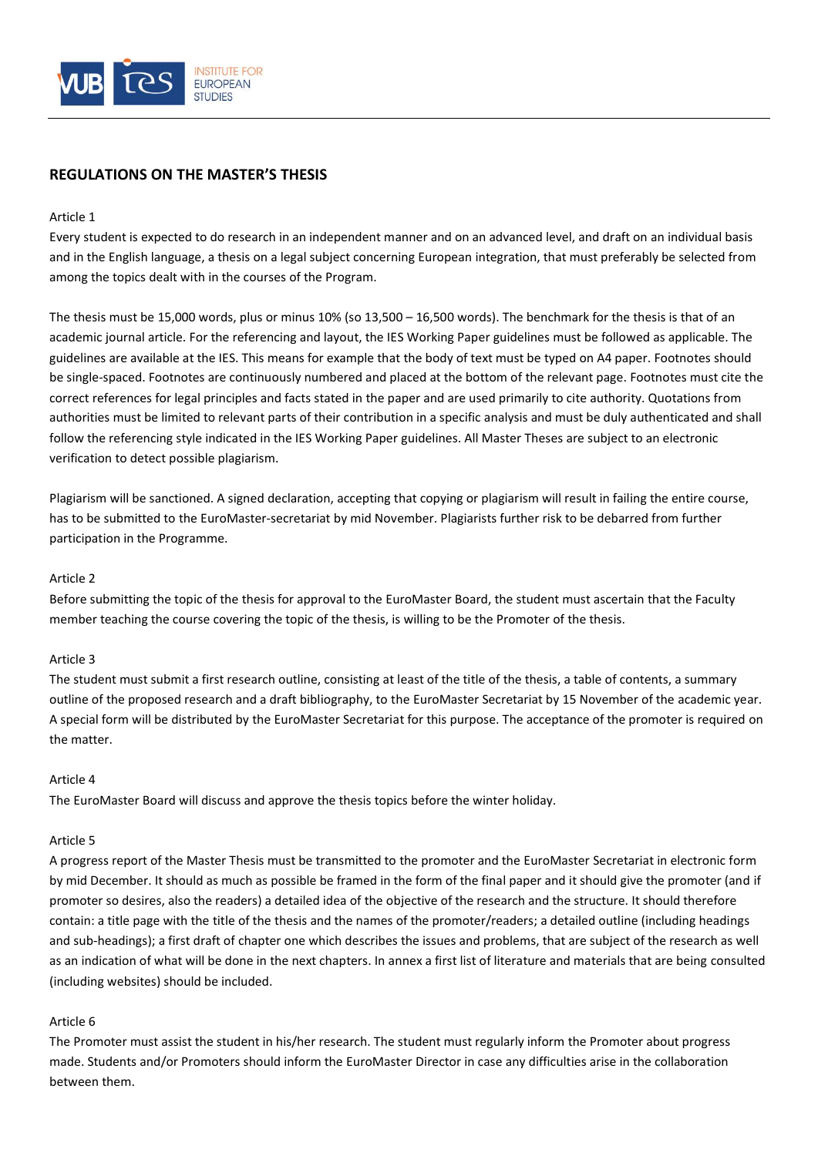

# **REGULATIONS ON THE MASTER'S THESIS**

## Article 1

Every student is expected to do research in an independent manner and on an advanced level, and draft on an individual basis and in the English language, a thesis on a legal subject concerning European integration, that must preferably be selected from among the topics dealt with in the courses of the Program.

The thesis must be 15,000 words, plus or minus 10% (so 13,500 – 16,500 words). The benchmark for the thesis is that of an academic journal article. For the referencing and layout, the IES Working Paper guidelines must be followed as applicable. The guidelines are available at the IES. This means for example that the body of text must be typed on A4 paper. Footnotes should be single-spaced. Footnotes are continuously numbered and placed at the bottom of the relevant page. Footnotes must cite the correct references for legal principles and facts stated in the paper and are used primarily to cite authority. Quotations from authorities must be limited to relevant parts of their contribution in a specific analysis and must be duly authenticated and shall follow the referencing style indicated in the IES Working Paper guidelines. All Master Theses are subject to an electronic verification to detect possible plagiarism.

Plagiarism will be sanctioned. A signed declaration, accepting that copying or plagiarism will result in failing the entire course, has to be submitted to the EuroMaster-secretariat by mid November. Plagiarists further risk to be debarred from further participation in the Programme.

## Article 2

Before submitting the topic of the thesis for approval to the EuroMaster Board, the student must ascertain that the Faculty member teaching the course covering the topic of the thesis, is willing to be the Promoter of the thesis.

#### Article 3

The student must submit a first research outline, consisting at least of the title of the thesis, a table of contents, a summary outline of the proposed research and a draft bibliography, to the EuroMaster Secretariat by 15 November of the academic year. A special form will be distributed by the EuroMaster Secretariat for this purpose. The acceptance of the promoter is required on the matter.

## Article 4

The EuroMaster Board will discuss and approve the thesis topics before the winter holiday.

#### Article 5

A progress report of the Master Thesis must be transmitted to the promoter and the EuroMaster Secretariat in electronic form by mid December. It should as much as possible be framed in the form of the final paper and it should give the promoter (and if promoter so desires, also the readers) a detailed idea of the objective of the research and the structure. It should therefore contain: a title page with the title of the thesis and the names of the promoter/readers; a detailed outline (including headings and sub-headings); a first draft of chapter one which describes the issues and problems, that are subject of the research as well as an indication of what will be done in the next chapters. In annex a first list of literature and materials that are being consulted (including websites) should be included.

## Article 6

The Promoter must assist the student in his/her research. The student must regularly inform the Promoter about progress made. Students and/or Promoters should inform the EuroMaster Director in case any difficulties arise in the collaboration between them.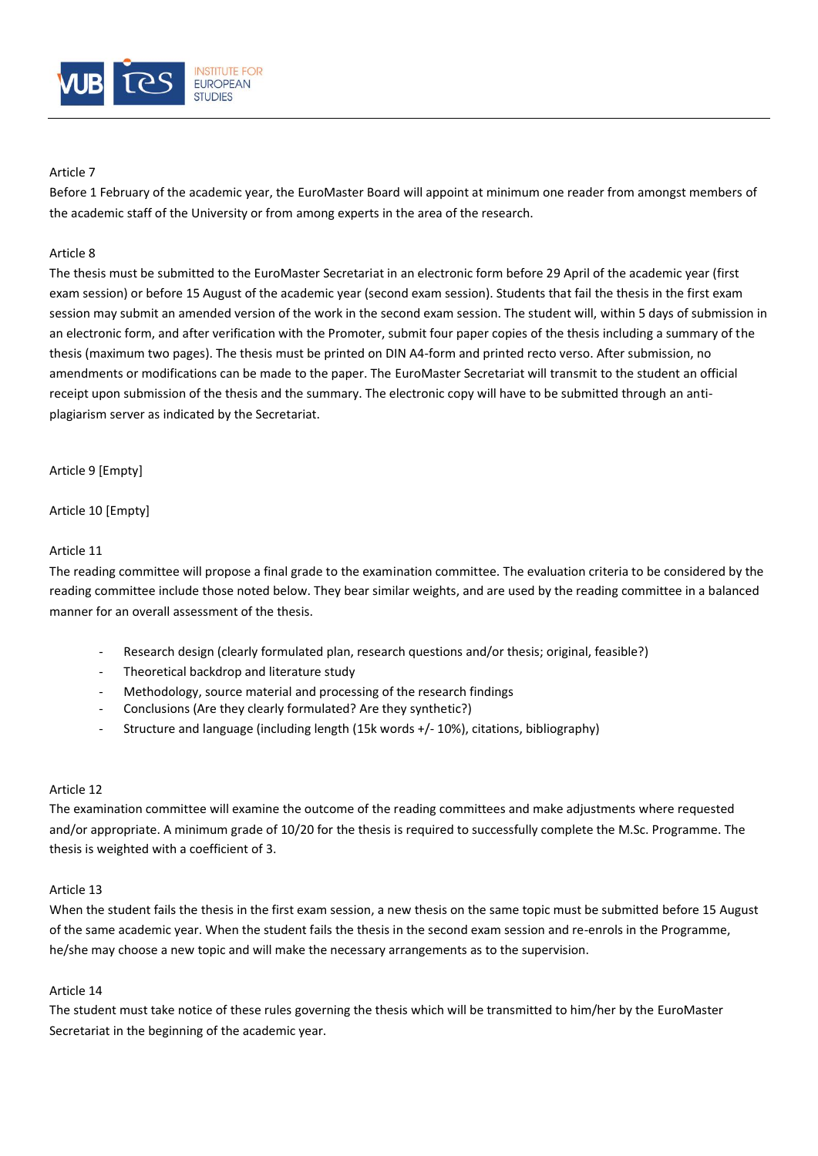

## Article 7

Before 1 February of the academic year, the EuroMaster Board will appoint at minimum one reader from amongst members of the academic staff of the University or from among experts in the area of the research.

## Article 8

The thesis must be submitted to the EuroMaster Secretariat in an electronic form before 29 April of the academic year (first exam session) or before 15 August of the academic year (second exam session). Students that fail the thesis in the first exam session may submit an amended version of the work in the second exam session. The student will, within 5 days of submission in an electronic form, and after verification with the Promoter, submit four paper copies of the thesis including a summary of the thesis (maximum two pages). The thesis must be printed on DIN A4-form and printed recto verso. After submission, no amendments or modifications can be made to the paper. The EuroMaster Secretariat will transmit to the student an official receipt upon submission of the thesis and the summary. The electronic copy will have to be submitted through an antiplagiarism server as indicated by the Secretariat.

Article 9 [Empty]

Article 10 [Empty]

## Article 11

The reading committee will propose a final grade to the examination committee. The evaluation criteria to be considered by the reading committee include those noted below. They bear similar weights, and are used by the reading committee in a balanced manner for an overall assessment of the thesis.

- Research design (clearly formulated plan, research questions and/or thesis; original, feasible?)
- Theoretical backdrop and literature study
- Methodology, source material and processing of the research findings
- Conclusions (Are they clearly formulated? Are they synthetic?)
- Structure and language (including length (15k words +/- 10%), citations, bibliography)

## Article 12

The examination committee will examine the outcome of the reading committees and make adjustments where requested and/or appropriate. A minimum grade of 10/20 for the thesis is required to successfully complete the M.Sc. Programme. The thesis is weighted with a coefficient of 3.

## Article 13

When the student fails the thesis in the first exam session, a new thesis on the same topic must be submitted before 15 August of the same academic year. When the student fails the thesis in the second exam session and re-enrols in the Programme, he/she may choose a new topic and will make the necessary arrangements as to the supervision.

# Article 14

The student must take notice of these rules governing the thesis which will be transmitted to him/her by the EuroMaster Secretariat in the beginning of the academic year.